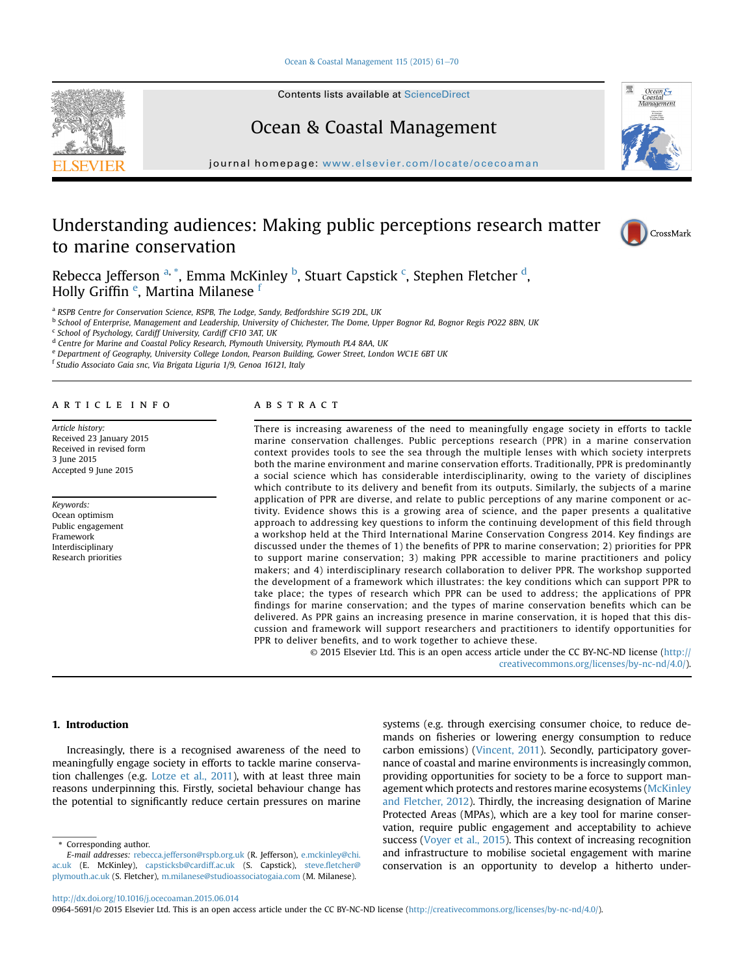#### Ocean & Coastal Management  $115(2015)$  61-[70](http://dx.doi.org/10.1016/j.ocecoaman.2015.06.014)

<span id="page-0-0"></span>

Contents lists available at ScienceDirect

# Ocean & Coastal Management

 $j<sub>i</sub>$  homepage: www.elsevier.com/locate/ocean-ocean-ocean-ocean-ocean-ocean-ocean-ocean-ocean-ocean-ocean-ocean-ocean-ocean-ocean-ocean-ocean-ocean-ocean-ocean-ocean-ocean-ocean-ocean-ocean-ocean-ocean-ocean-ocean-oce

# Understanding audiences: Making public perceptions research matter to marine conservation





Rebecca Jefferson <sup>a, \*</sup>, Emma McKinley <sup>b</sup>, Stuart Capstick <sup>c</sup>, Stephen Fletcher <sup>d</sup>, Holly Griffin <sup>e</sup>, Martina Milanese <sup>f</sup>

<sup>a</sup> RSPB Centre for Conservation Science, RSPB, The Lodge, Sandy, Bedfordshire SG19 2DL, UK

<sup>b</sup> School of Enterprise, Management and Leadership, University of Chichester, The Dome, Upper Bognor Rd, Bognor Regis PO22 8BN, UK

<sup>c</sup> School of Psychology, Cardiff University, Cardiff CF10 3AT, UK

<sup>d</sup> Centre for Marine and Coastal Policy Research, Plymouth University, Plymouth PL4 8AA, UK

<sup>e</sup> Department of Geography, University College London, Pearson Building, Gower Street, London WC1E 6BT UK

<sup>f</sup> Studio Associato Gaia snc, Via Brigata Liguria 1/9, Genoa 16121, Italy

#### article info

Article history: Received 23 January 2015 Received in revised form 3 June 2015 Accepted 9 June 2015

Keywords: Ocean optimism Public engagement Framework Interdisciplinary Research priorities

## **ABSTRACT**

There is increasing awareness of the need to meaningfully engage society in efforts to tackle marine conservation challenges. Public perceptions research (PPR) in a marine conservation context provides tools to see the sea through the multiple lenses with which society interprets both the marine environment and marine conservation efforts. Traditionally, PPR is predominantly a social science which has considerable interdisciplinarity, owing to the variety of disciplines which contribute to its delivery and benefit from its outputs. Similarly, the subjects of a marine application of PPR are diverse, and relate to public perceptions of any marine component or activity. Evidence shows this is a growing area of science, and the paper presents a qualitative approach to addressing key questions to inform the continuing development of this field through a workshop held at the Third International Marine Conservation Congress 2014. Key findings are discussed under the themes of 1) the benefits of PPR to marine conservation; 2) priorities for PPR to support marine conservation; 3) making PPR accessible to marine practitioners and policy makers; and 4) interdisciplinary research collaboration to deliver PPR. The workshop supported the development of a framework which illustrates: the key conditions which can support PPR to take place; the types of research which PPR can be used to address; the applications of PPR findings for marine conservation; and the types of marine conservation benefits which can be delivered. As PPR gains an increasing presence in marine conservation, it is hoped that this discussion and framework will support researchers and practitioners to identify opportunities for PPR to deliver benefits, and to work together to achieve these.

> © 2015 Elsevier Ltd. This is an open access article under the CC BY-NC-ND license [\(http://](http://creativecommons.org/licenses/by-nc-nd/4.�0/) [creativecommons.org/licenses/by-nc-nd/4.0/](http://creativecommons.org/licenses/by-nc-nd/4.�0/)).

# 1. Introduction

Increasingly, there is a recognised awareness of the need to meaningfully engage society in efforts to tackle marine conservation challenges (e.g. [Lotze et al., 2011\)](#page-9-0), with at least three main reasons underpinning this. Firstly, societal behaviour change has the potential to significantly reduce certain pressures on marine

\* Corresponding author.

systems (e.g. through exercising consumer choice, to reduce demands on fisheries or lowering energy consumption to reduce carbon emissions) [\(Vincent, 2011\)](#page-9-0). Secondly, participatory governance of coastal and marine environments is increasingly common, providing opportunities for society to be a force to support management which protects and restores marine ecosystems [\(McKinley](#page-9-0) [and Fletcher, 2012\)](#page-9-0). Thirdly, the increasing designation of Marine Protected Areas (MPAs), which are a key tool for marine conservation, require public engagement and acceptability to achieve success [\(Voyer et al., 2015](#page-9-0)). This context of increasing recognition and infrastructure to mobilise societal engagement with marine conservation is an opportunity to develop a hitherto under-

<http://dx.doi.org/10.1016/j.ocecoaman.2015.06.014>

E-mail addresses: [rebecca.jefferson@rspb.org.uk](mailto:rebecca.jefferson@rspb.org.uk) (R. Jefferson), [e.mckinley@chi.](mailto:e.mckinley@chi.ac.uk) [ac.uk](mailto:e.mckinley@chi.ac.uk) (E. McKinley), [capsticksb@cardiff.ac.uk](mailto:capsticksb@cardiff.ac.uk) (S. Capstick), steve.fl[etcher@](mailto:steve.fletcher@plymouth.ac.uk) [plymouth.ac.uk](mailto:steve.fletcher@plymouth.ac.uk) (S. Fletcher), [m.milanese@studioassociatogaia.com](mailto:m.milanese@studioassociatogaia.com) (M. Milanese).

<sup>0964-5691/</sup>© 2015 Elsevier Ltd. This is an open access article under the CC BY-NC-ND license ([http://creativecommons.org/licenses/by-nc-nd/4.0/\)](http://creativecommons.org/licenses/by-nc-nd/4.�0/).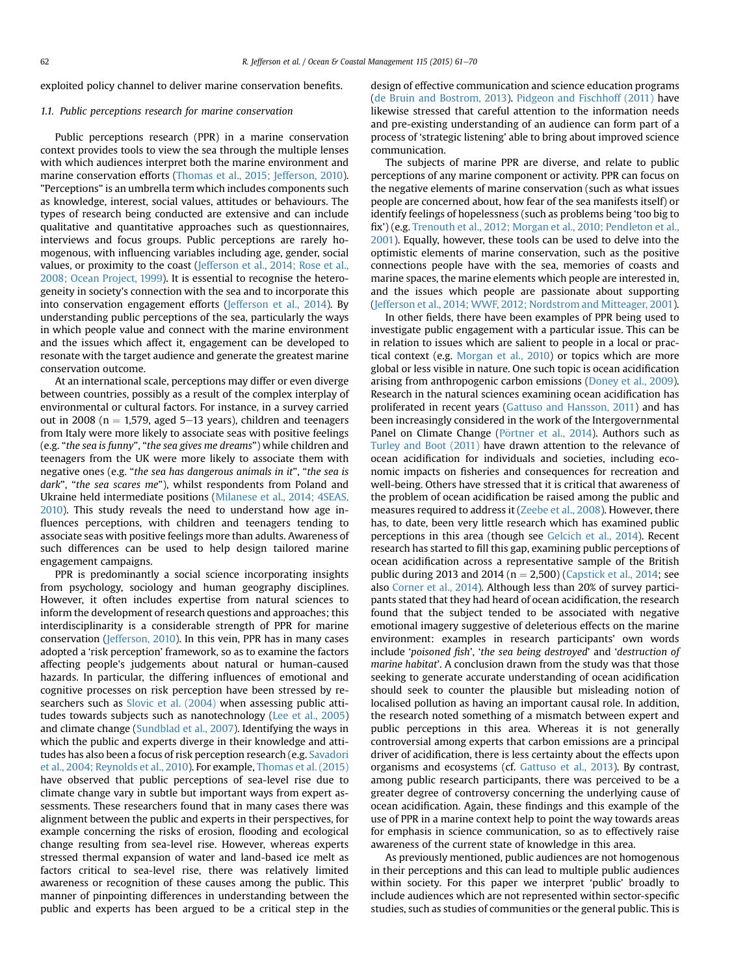exploited policy channel to deliver marine conservation benefits.

### 1.1. Public perceptions research for marine conservation

Public perceptions research (PPR) in a marine conservation context provides tools to view the sea through the multiple lenses with which audiences interpret both the marine environment and marine conservation efforts ([Thomas et al., 2015; Jefferson, 2010\)](#page-9-0). "Perceptions" is an umbrella term which includes components such as knowledge, interest, social values, attitudes or behaviours. The types of research being conducted are extensive and can include qualitative and quantitative approaches such as questionnaires, interviews and focus groups. Public perceptions are rarely homogenous, with influencing variables including age, gender, social values, or proximity to the coast [\(Jefferson et al., 2014; Rose et al.,](#page-9-0) [2008; Ocean Project, 1999](#page-9-0)). It is essential to recognise the heterogeneity in society's connection with the sea and to incorporate this into conservation engagement efforts [\(Jefferson et al., 2014\)](#page-9-0). By understanding public perceptions of the sea, particularly the ways in which people value and connect with the marine environment and the issues which affect it, engagement can be developed to resonate with the target audience and generate the greatest marine conservation outcome.

At an international scale, perceptions may differ or even diverge between countries, possibly as a result of the complex interplay of environmental or cultural factors. For instance, in a survey carried out in 2008 ( $n = 1,579$ , aged 5-13 years), children and teenagers from Italy were more likely to associate seas with positive feelings (e.g. "the sea is funny", "the sea gives me dreams") while children and teenagers from the UK were more likely to associate them with negative ones (e.g. "the sea has dangerous animals in it", "the sea is dark", "the sea scares me"), whilst respondents from Poland and Ukraine held intermediate positions [\(Milanese et al., 2014; 4SEAS,](#page-9-0) [2010](#page-9-0)). This study reveals the need to understand how age influences perceptions, with children and teenagers tending to associate seas with positive feelings more than adults. Awareness of such differences can be used to help design tailored marine engagement campaigns.

PPR is predominantly a social science incorporating insights from psychology, sociology and human geography disciplines. However, it often includes expertise from natural sciences to inform the development of research questions and approaches; this interdisciplinarity is a considerable strength of PPR for marine conservation ([Jefferson, 2010\)](#page-9-0). In this vein, PPR has in many cases adopted a 'risk perception' framework, so as to examine the factors affecting people's judgements about natural or human-caused hazards. In particular, the differing influences of emotional and cognitive processes on risk perception have been stressed by researchers such as [Slovic et al. \(2004\)](#page-9-0) when assessing public attitudes towards subjects such as nanotechnology ([Lee et al., 2005\)](#page-9-0) and climate change [\(Sundblad et al., 2007](#page-9-0)). Identifying the ways in which the public and experts diverge in their knowledge and attitudes has also been a focus of risk perception research (e.g. [Savadori](#page-9-0) [et al., 2004; Reynolds et al., 2010](#page-9-0)). For example, [Thomas et al. \(2015\)](#page-9-0) have observed that public perceptions of sea-level rise due to climate change vary in subtle but important ways from expert assessments. These researchers found that in many cases there was alignment between the public and experts in their perspectives, for example concerning the risks of erosion, flooding and ecological change resulting from sea-level rise. However, whereas experts stressed thermal expansion of water and land-based ice melt as factors critical to sea-level rise, there was relatively limited awareness or recognition of these causes among the public. This manner of pinpointing differences in understanding between the public and experts has been argued to be a critical step in the design of effective communication and science education programs ([de Bruin and Bostrom, 2013\)](#page-8-0). [Pidgeon and Fischhoff \(2011\)](#page-9-0) have likewise stressed that careful attention to the information needs and pre-existing understanding of an audience can form part of a process of 'strategic listening' able to bring about improved science communication.

The subjects of marine PPR are diverse, and relate to public perceptions of any marine component or activity. PPR can focus on the negative elements of marine conservation (such as what issues people are concerned about, how fear of the sea manifests itself) or identify feelings of hopelessness (such as problems being 'too big to fix') (e.g. [Trenouth et al., 2012; Morgan et al., 2010; Pendleton et al.,](#page-9-0) [2001\)](#page-9-0). Equally, however, these tools can be used to delve into the optimistic elements of marine conservation, such as the positive connections people have with the sea, memories of coasts and marine spaces, the marine elements which people are interested in, and the issues which people are passionate about supporting ([Jefferson et al., 2014; WWF, 2012; Nordstrom and Mitteager, 2001\)](#page-9-0).

In other fields, there have been examples of PPR being used to investigate public engagement with a particular issue. This can be in relation to issues which are salient to people in a local or practical context (e.g. [Morgan et al., 2010](#page-9-0)) or topics which are more global or less visible in nature. One such topic is ocean acidification arising from anthropogenic carbon emissions [\(Doney et al., 2009\)](#page-8-0). Research in the natural sciences examining ocean acidification has proliferated in recent years [\(Gattuso and Hansson, 2011\)](#page-9-0) and has been increasingly considered in the work of the Intergovernmental Panel on Climate Change [\(P](#page-9-0)ö[rtner et al., 2014](#page-9-0)). Authors such as [Turley and Boot \(2011\)](#page-9-0) have drawn attention to the relevance of ocean acidification for individuals and societies, including economic impacts on fisheries and consequences for recreation and well-being. Others have stressed that it is critical that awareness of the problem of ocean acidification be raised among the public and measures required to address it ([Zeebe et al., 2008\)](#page-9-0). However, there has, to date, been very little research which has examined public perceptions in this area (though see [Gelcich et al., 2014](#page-9-0)). Recent research has started to fill this gap, examining public perceptions of ocean acidification across a representative sample of the British public during 2013 and 2014 ( $n = 2,500$ ) ([Capstick et al., 2014](#page-8-0); see also [Corner et al., 2014\)](#page-8-0). Although less than 20% of survey participants stated that they had heard of ocean acidification, the research found that the subject tended to be associated with negative emotional imagery suggestive of deleterious effects on the marine environment: examples in research participants' own words include 'poisoned fish', 'the sea being destroyed' and 'destruction of marine habitat'. A conclusion drawn from the study was that those seeking to generate accurate understanding of ocean acidification should seek to counter the plausible but misleading notion of localised pollution as having an important causal role. In addition, the research noted something of a mismatch between expert and public perceptions in this area. Whereas it is not generally controversial among experts that carbon emissions are a principal driver of acidification, there is less certainty about the effects upon organisms and ecosystems (cf. [Gattuso et al., 2013](#page-9-0)). By contrast, among public research participants, there was perceived to be a greater degree of controversy concerning the underlying cause of ocean acidification. Again, these findings and this example of the use of PPR in a marine context help to point the way towards areas for emphasis in science communication, so as to effectively raise awareness of the current state of knowledge in this area.

As previously mentioned, public audiences are not homogenous in their perceptions and this can lead to multiple public audiences within society. For this paper we interpret 'public' broadly to include audiences which are not represented within sector-specific studies, such as studies of communities or the general public. This is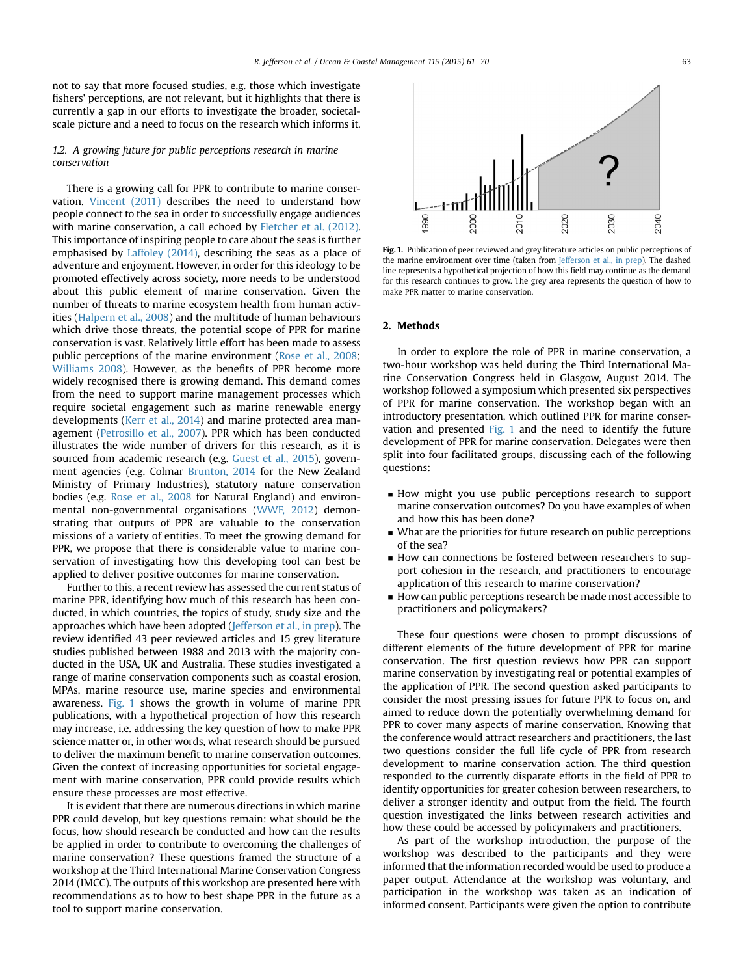<span id="page-2-0"></span>not to say that more focused studies, e.g. those which investigate fishers' perceptions, are not relevant, but it highlights that there is currently a gap in our efforts to investigate the broader, societalscale picture and a need to focus on the research which informs it.

# 1.2. A growing future for public perceptions research in marine conservation

There is a growing call for PPR to contribute to marine conservation. [Vincent \(2011\)](#page-9-0) describes the need to understand how people connect to the sea in order to successfully engage audiences with marine conservation, a call echoed by [Fletcher et al. \(2012\).](#page-8-0) This importance of inspiring people to care about the seas is further emphasised by [Laffoley \(2014\),](#page-9-0) describing the seas as a place of adventure and enjoyment. However, in order for this ideology to be promoted effectively across society, more needs to be understood about this public element of marine conservation. Given the number of threats to marine ecosystem health from human activities ([Halpern et al., 2008\)](#page-9-0) and the multitude of human behaviours which drive those threats, the potential scope of PPR for marine conservation is vast. Relatively little effort has been made to assess public perceptions of the marine environment [\(Rose et al., 2008;](#page-9-0) [Williams 2008](#page-9-0)). However, as the benefits of PPR become more widely recognised there is growing demand. This demand comes from the need to support marine management processes which require societal engagement such as marine renewable energy developments ([Kerr et al., 2014\)](#page-9-0) and marine protected area management ([Petrosillo et al., 2007\)](#page-9-0). PPR which has been conducted illustrates the wide number of drivers for this research, as it is sourced from academic research (e.g. [Guest et al., 2015](#page-9-0)), government agencies (e.g. Colmar [Brunton, 2014](#page-8-0) for the New Zealand Ministry of Primary Industries), statutory nature conservation bodies (e.g. [Rose et al., 2008](#page-9-0) for Natural England) and environmental non-governmental organisations [\(WWF, 2012\)](#page-9-0) demonstrating that outputs of PPR are valuable to the conservation missions of a variety of entities. To meet the growing demand for PPR, we propose that there is considerable value to marine conservation of investigating how this developing tool can best be applied to deliver positive outcomes for marine conservation.

Further to this, a recent review has assessed the current status of marine PPR, identifying how much of this research has been conducted, in which countries, the topics of study, study size and the approaches which have been adopted [\(Jefferson et al., in prep\)](#page-9-0). The review identified 43 peer reviewed articles and 15 grey literature studies published between 1988 and 2013 with the majority conducted in the USA, UK and Australia. These studies investigated a range of marine conservation components such as coastal erosion, MPAs, marine resource use, marine species and environmental awareness. Fig. 1 shows the growth in volume of marine PPR publications, with a hypothetical projection of how this research may increase, i.e. addressing the key question of how to make PPR science matter or, in other words, what research should be pursued to deliver the maximum benefit to marine conservation outcomes. Given the context of increasing opportunities for societal engagement with marine conservation, PPR could provide results which ensure these processes are most effective.

It is evident that there are numerous directions in which marine PPR could develop, but key questions remain: what should be the focus, how should research be conducted and how can the results be applied in order to contribute to overcoming the challenges of marine conservation? These questions framed the structure of a workshop at the Third International Marine Conservation Congress 2014 (IMCC). The outputs of this workshop are presented here with recommendations as to how to best shape PPR in the future as a tool to support marine conservation.



Fig. 1. Publication of peer reviewed and grey literature articles on public perceptions of the marine environment over time (taken from [Jefferson et al., in prep\)](#page-9-0). The dashed line represents a hypothetical projection of how this field may continue as the demand for this research continues to grow. The grey area represents the question of how to make PPR matter to marine conservation.

# 2. Methods

In order to explore the role of PPR in marine conservation, a two-hour workshop was held during the Third International Marine Conservation Congress held in Glasgow, August 2014. The workshop followed a symposium which presented six perspectives of PPR for marine conservation. The workshop began with an introductory presentation, which outlined PPR for marine conservation and presented Fig. 1 and the need to identify the future development of PPR for marine conservation. Delegates were then split into four facilitated groups, discussing each of the following questions:

- **EXECT** How might you use public perceptions research to support marine conservation outcomes? Do you have examples of when and how this has been done?
- **What are the priorities for future research on public perceptions** of the sea?
- How can connections be fostered between researchers to support cohesion in the research, and practitioners to encourage application of this research to marine conservation?
- How can public perceptions research be made most accessible to practitioners and policymakers?

These four questions were chosen to prompt discussions of different elements of the future development of PPR for marine conservation. The first question reviews how PPR can support marine conservation by investigating real or potential examples of the application of PPR. The second question asked participants to consider the most pressing issues for future PPR to focus on, and aimed to reduce down the potentially overwhelming demand for PPR to cover many aspects of marine conservation. Knowing that the conference would attract researchers and practitioners, the last two questions consider the full life cycle of PPR from research development to marine conservation action. The third question responded to the currently disparate efforts in the field of PPR to identify opportunities for greater cohesion between researchers, to deliver a stronger identity and output from the field. The fourth question investigated the links between research activities and how these could be accessed by policymakers and practitioners.

As part of the workshop introduction, the purpose of the workshop was described to the participants and they were informed that the information recorded would be used to produce a paper output. Attendance at the workshop was voluntary, and participation in the workshop was taken as an indication of informed consent. Participants were given the option to contribute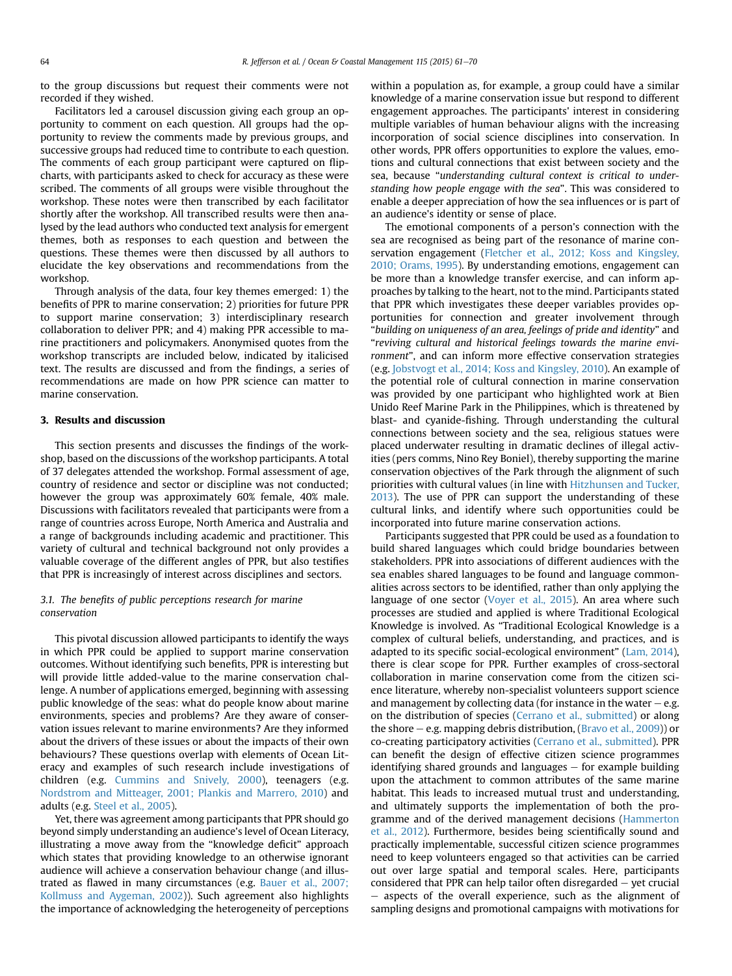<span id="page-3-0"></span>to the group discussions but request their comments were not recorded if they wished.

Facilitators led a carousel discussion giving each group an opportunity to comment on each question. All groups had the opportunity to review the comments made by previous groups, and successive groups had reduced time to contribute to each question. The comments of each group participant were captured on flipcharts, with participants asked to check for accuracy as these were scribed. The comments of all groups were visible throughout the workshop. These notes were then transcribed by each facilitator shortly after the workshop. All transcribed results were then analysed by the lead authors who conducted text analysis for emergent themes, both as responses to each question and between the questions. These themes were then discussed by all authors to elucidate the key observations and recommendations from the workshop.

Through analysis of the data, four key themes emerged: 1) the benefits of PPR to marine conservation; 2) priorities for future PPR to support marine conservation; 3) interdisciplinary research collaboration to deliver PPR; and 4) making PPR accessible to marine practitioners and policymakers. Anonymised quotes from the workshop transcripts are included below, indicated by italicised text. The results are discussed and from the findings, a series of recommendations are made on how PPR science can matter to marine conservation.

# 3. Results and discussion

This section presents and discusses the findings of the workshop, based on the discussions of the workshop participants. A total of 37 delegates attended the workshop. Formal assessment of age, country of residence and sector or discipline was not conducted; however the group was approximately 60% female, 40% male. Discussions with facilitators revealed that participants were from a range of countries across Europe, North America and Australia and a range of backgrounds including academic and practitioner. This variety of cultural and technical background not only provides a valuable coverage of the different angles of PPR, but also testifies that PPR is increasingly of interest across disciplines and sectors.

# 3.1. The benefits of public perceptions research for marine conservation

This pivotal discussion allowed participants to identify the ways in which PPR could be applied to support marine conservation outcomes. Without identifying such benefits, PPR is interesting but will provide little added-value to the marine conservation challenge. A number of applications emerged, beginning with assessing public knowledge of the seas: what do people know about marine environments, species and problems? Are they aware of conservation issues relevant to marine environments? Are they informed about the drivers of these issues or about the impacts of their own behaviours? These questions overlap with elements of Ocean Literacy and examples of such research include investigations of children (e.g. [Cummins and Snively, 2000\)](#page-8-0), teenagers (e.g. [Nordstrom and Mitteager, 2001; Plankis and Marrero, 2010](#page-9-0)) and adults (e.g. [Steel et al., 2005](#page-9-0)).

Yet, there was agreement among participants that PPR should go beyond simply understanding an audience's level of Ocean Literacy, illustrating a move away from the "knowledge deficit" approach which states that providing knowledge to an otherwise ignorant audience will achieve a conservation behaviour change (and illustrated as flawed in many circumstances (e.g. [Bauer et al., 2007;](#page-8-0) [Kollmuss and Aygeman, 2002](#page-8-0))). Such agreement also highlights the importance of acknowledging the heterogeneity of perceptions within a population as, for example, a group could have a similar knowledge of a marine conservation issue but respond to different engagement approaches. The participants' interest in considering multiple variables of human behaviour aligns with the increasing incorporation of social science disciplines into conservation. In other words, PPR offers opportunities to explore the values, emotions and cultural connections that exist between society and the sea, because "understanding cultural context is critical to understanding how people engage with the sea". This was considered to enable a deeper appreciation of how the sea influences or is part of an audience's identity or sense of place.

The emotional components of a person's connection with the sea are recognised as being part of the resonance of marine conservation engagement [\(Fletcher et al., 2012; Koss and Kingsley,](#page-8-0) [2010; Orams, 1995\)](#page-8-0). By understanding emotions, engagement can be more than a knowledge transfer exercise, and can inform approaches by talking to the heart, not to the mind. Participants stated that PPR which investigates these deeper variables provides opportunities for connection and greater involvement through "building on uniqueness of an area, feelings of pride and identity" and "reviving cultural and historical feelings towards the marine environment", and can inform more effective conservation strategies (e.g. [Jobstvogt et al., 2014; Koss and Kingsley, 2010\)](#page-9-0). An example of the potential role of cultural connection in marine conservation was provided by one participant who highlighted work at Bien Unido Reef Marine Park in the Philippines, which is threatened by blast- and cyanide-fishing. Through understanding the cultural connections between society and the sea, religious statues were placed underwater resulting in dramatic declines of illegal activities (pers comms, Nino Rey Boniel), thereby supporting the marine conservation objectives of the Park through the alignment of such priorities with cultural values (in line with [Hitzhunsen and Tucker,](#page-9-0) [2013\)](#page-9-0). The use of PPR can support the understanding of these cultural links, and identify where such opportunities could be incorporated into future marine conservation actions.

Participants suggested that PPR could be used as a foundation to build shared languages which could bridge boundaries between stakeholders. PPR into associations of different audiences with the sea enables shared languages to be found and language commonalities across sectors to be identified, rather than only applying the language of one sector [\(Voyer et al., 2015\)](#page-9-0). An area where such processes are studied and applied is where Traditional Ecological Knowledge is involved. As "Traditional Ecological Knowledge is a complex of cultural beliefs, understanding, and practices, and is adapted to its specific social-ecological environment" [\(Lam, 2014\)](#page-9-0), there is clear scope for PPR. Further examples of cross-sectoral collaboration in marine conservation come from the citizen science literature, whereby non-specialist volunteers support science and management by collecting data (for instance in the water  $-e.g.$ on the distribution of species [\(Cerrano et al., submitted](#page-8-0)) or along the shore  $-$  e.g. mapping debris distribution, [\(Bravo et al., 2009\)](#page-8-0)) or co-creating participatory activities [\(Cerrano et al., submitted\)](#page-8-0). PPR can benefit the design of effective citizen science programmes identifying shared grounds and languages  $-$  for example building upon the attachment to common attributes of the same marine habitat. This leads to increased mutual trust and understanding, and ultimately supports the implementation of both the programme and of the derived management decisions [\(Hammerton](#page-9-0) [et al., 2012\)](#page-9-0). Furthermore, besides being scientifically sound and practically implementable, successful citizen science programmes need to keep volunteers engaged so that activities can be carried out over large spatial and temporal scales. Here, participants considered that PPR can help tailor often disregarded  $-$  yet crucial aspects of the overall experience, such as the alignment of sampling designs and promotional campaigns with motivations for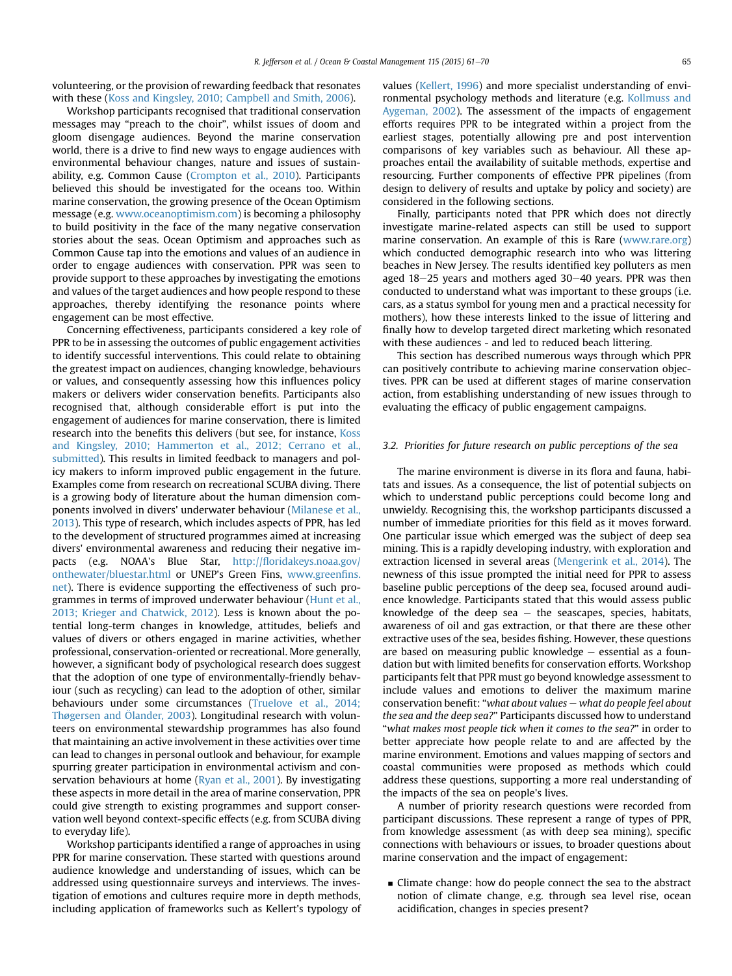<span id="page-4-0"></span>volunteering, or the provision of rewarding feedback that resonates with these [\(Koss and Kingsley, 2010; Campbell and Smith, 2006\)](#page-9-0).

Workshop participants recognised that traditional conservation messages may "preach to the choir", whilst issues of doom and gloom disengage audiences. Beyond the marine conservation world, there is a drive to find new ways to engage audiences with environmental behaviour changes, nature and issues of sustainability, e.g. Common Cause [\(Crompton et al., 2010](#page-8-0)). Participants believed this should be investigated for the oceans too. Within marine conservation, the growing presence of the Ocean Optimism message (e.g. [www.oceanoptimism.com](http://www.oceanoptimism.com)) is becoming a philosophy to build positivity in the face of the many negative conservation stories about the seas. Ocean Optimism and approaches such as Common Cause tap into the emotions and values of an audience in order to engage audiences with conservation. PPR was seen to provide support to these approaches by investigating the emotions and values of the target audiences and how people respond to these approaches, thereby identifying the resonance points where engagement can be most effective.

Concerning effectiveness, participants considered a key role of PPR to be in assessing the outcomes of public engagement activities to identify successful interventions. This could relate to obtaining the greatest impact on audiences, changing knowledge, behaviours or values, and consequently assessing how this influences policy makers or delivers wider conservation benefits. Participants also recognised that, although considerable effort is put into the engagement of audiences for marine conservation, there is limited research into the benefits this delivers (but see, for instance, [Koss](#page-9-0) [and Kingsley, 2010; Hammerton et al., 2012; Cerrano et al.,](#page-9-0) [submitted\)](#page-9-0). This results in limited feedback to managers and policy makers to inform improved public engagement in the future. Examples come from research on recreational SCUBA diving. There is a growing body of literature about the human dimension components involved in divers' underwater behaviour [\(Milanese et al.,](#page-9-0) [2013\)](#page-9-0). This type of research, which includes aspects of PPR, has led to the development of structured programmes aimed at increasing divers' environmental awareness and reducing their negative impacts (e.g. NOAA's Blue Star, http://fl[oridakeys.noaa.gov/](http://floridakeys.noaa.gov/onthewater/bluestar.html) [onthewater/bluestar.html](http://floridakeys.noaa.gov/onthewater/bluestar.html) or UNEP's Green Fins, [www.green](http://www.greenfins.net)fins. [net\)](http://www.greenfins.net). There is evidence supporting the effectiveness of such programmes in terms of improved underwater behaviour [\(Hunt et al.,](#page-9-0) [2013; Krieger and Chatwick, 2012\)](#page-9-0). Less is known about the potential long-term changes in knowledge, attitudes, beliefs and values of divers or others engaged in marine activities, whether professional, conservation-oriented or recreational. More generally, however, a significant body of psychological research does suggest that the adoption of one type of environmentally-friendly behaviour (such as recycling) can lead to the adoption of other, similar behaviours under some circumstances ([Truelove et al., 2014;](#page-9-0) [Th](#page-9-0)ø[gersen and](#page-9-0) Ö[lander, 2003](#page-9-0)). Longitudinal research with volunteers on environmental stewardship programmes has also found that maintaining an active involvement in these activities over time can lead to changes in personal outlook and behaviour, for example spurring greater participation in environmental activism and conservation behaviours at home ([Ryan et al., 2001](#page-9-0)). By investigating these aspects in more detail in the area of marine conservation, PPR could give strength to existing programmes and support conservation well beyond context-specific effects (e.g. from SCUBA diving to everyday life).

Workshop participants identified a range of approaches in using PPR for marine conservation. These started with questions around audience knowledge and understanding of issues, which can be addressed using questionnaire surveys and interviews. The investigation of emotions and cultures require more in depth methods, including application of frameworks such as Kellert's typology of values ([Kellert, 1996\)](#page-9-0) and more specialist understanding of environmental psychology methods and literature (e.g. [Kollmuss and](#page-9-0) [Aygeman, 2002](#page-9-0)). The assessment of the impacts of engagement efforts requires PPR to be integrated within a project from the earliest stages, potentially allowing pre and post intervention comparisons of key variables such as behaviour. All these approaches entail the availability of suitable methods, expertise and resourcing. Further components of effective PPR pipelines (from design to delivery of results and uptake by policy and society) are considered in the following sections.

Finally, participants noted that PPR which does not directly investigate marine-related aspects can still be used to support marine conservation. An example of this is Rare [\(www.rare.org\)](http://www.rare.org) which conducted demographic research into who was littering beaches in New Jersey. The results identified key polluters as men aged  $18-25$  years and mothers aged  $30-40$  years. PPR was then conducted to understand what was important to these groups (i.e. cars, as a status symbol for young men and a practical necessity for mothers), how these interests linked to the issue of littering and finally how to develop targeted direct marketing which resonated with these audiences - and led to reduced beach littering.

This section has described numerous ways through which PPR can positively contribute to achieving marine conservation objectives. PPR can be used at different stages of marine conservation action, from establishing understanding of new issues through to evaluating the efficacy of public engagement campaigns.

## 3.2. Priorities for future research on public perceptions of the sea

The marine environment is diverse in its flora and fauna, habitats and issues. As a consequence, the list of potential subjects on which to understand public perceptions could become long and unwieldy. Recognising this, the workshop participants discussed a number of immediate priorities for this field as it moves forward. One particular issue which emerged was the subject of deep sea mining. This is a rapidly developing industry, with exploration and extraction licensed in several areas ([Mengerink et al., 2014\)](#page-9-0). The newness of this issue prompted the initial need for PPR to assess baseline public perceptions of the deep sea, focused around audience knowledge. Participants stated that this would assess public knowledge of the deep sea  $-$  the seascapes, species, habitats, awareness of oil and gas extraction, or that there are these other extractive uses of the sea, besides fishing. However, these questions are based on measuring public knowledge  $-$  essential as a foundation but with limited benefits for conservation efforts. Workshop participants felt that PPR must go beyond knowledge assessment to include values and emotions to deliver the maximum marine conservation benefit: "what about values  $-$  what do people feel about the sea and the deep sea?" Participants discussed how to understand "what makes most people tick when it comes to the sea?" in order to better appreciate how people relate to and are affected by the marine environment. Emotions and values mapping of sectors and coastal communities were proposed as methods which could address these questions, supporting a more real understanding of the impacts of the sea on people's lives.

A number of priority research questions were recorded from participant discussions. These represent a range of types of PPR, from knowledge assessment (as with deep sea mining), specific connections with behaviours or issues, to broader questions about marine conservation and the impact of engagement:

**Example 2** Climate change: how do people connect the sea to the abstract notion of climate change, e.g. through sea level rise, ocean acidification, changes in species present?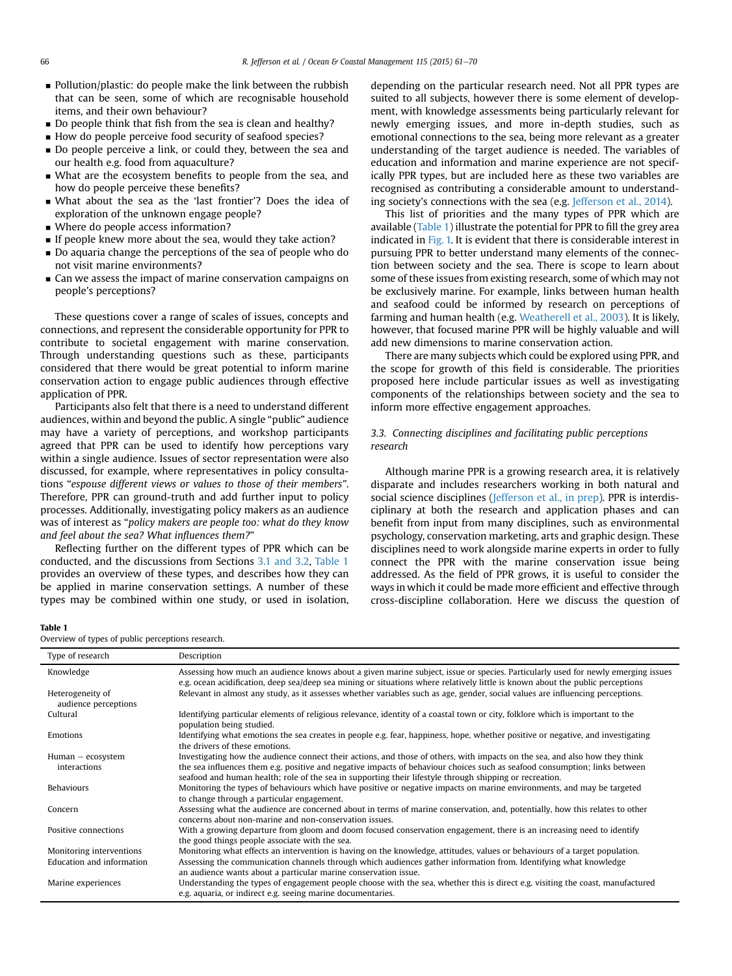- <span id="page-5-0"></span>**•** Pollution/plastic: do people make the link between the rubbish that can be seen, some of which are recognisable household items, and their own behaviour?
- Do people think that fish from the sea is clean and healthy?
- How do people perceive food security of seafood species?
- **Do people perceive a link, or could they, between the sea and** our health e.g. food from aquaculture?
- What are the ecosystem benefits to people from the sea, and how do people perceive these benefits?
- **What about the sea as the 'last frontier'? Does the idea of** exploration of the unknown engage people?
- **I** Where do people access information?
- If people knew more about the sea, would they take action?
- **Do aquaria change the perceptions of the sea of people who do** not visit marine environments?
- $\blacksquare$  Can we assess the impact of marine conservation campaigns on people's perceptions?

These questions cover a range of scales of issues, concepts and connections, and represent the considerable opportunity for PPR to contribute to societal engagement with marine conservation. Through understanding questions such as these, participants considered that there would be great potential to inform marine conservation action to engage public audiences through effective application of PPR.

Participants also felt that there is a need to understand different audiences, within and beyond the public. A single "public" audience may have a variety of perceptions, and workshop participants agreed that PPR can be used to identify how perceptions vary within a single audience. Issues of sector representation were also discussed, for example, where representatives in policy consultations "espouse different views or values to those of their members". Therefore, PPR can ground-truth and add further input to policy processes. Additionally, investigating policy makers as an audience was of interest as "policy makers are people too: what do they know and feel about the sea? What influences them?"

Reflecting further on the different types of PPR which can be conducted, and the discussions from Sections [3.1 and 3.2,](#page-3-0) Table 1 provides an overview of these types, and describes how they can be applied in marine conservation settings. A number of these types may be combined within one study, or used in isolation, depending on the particular research need. Not all PPR types are suited to all subjects, however there is some element of development, with knowledge assessments being particularly relevant for newly emerging issues, and more in-depth studies, such as emotional connections to the sea, being more relevant as a greater understanding of the target audience is needed. The variables of education and information and marine experience are not specifically PPR types, but are included here as these two variables are recognised as contributing a considerable amount to understanding society's connections with the sea (e.g. [Jefferson et al., 2014\)](#page-9-0).

This list of priorities and the many types of PPR which are available (Table 1) illustrate the potential for PPR to fill the grey area indicated in [Fig. 1.](#page-2-0) It is evident that there is considerable interest in pursuing PPR to better understand many elements of the connection between society and the sea. There is scope to learn about some of these issues from existing research, some of which may not be exclusively marine. For example, links between human health and seafood could be informed by research on perceptions of farming and human health (e.g. [Weatherell et al., 2003\)](#page-9-0). It is likely, however, that focused marine PPR will be highly valuable and will add new dimensions to marine conservation action.

There are many subjects which could be explored using PPR, and the scope for growth of this field is considerable. The priorities proposed here include particular issues as well as investigating components of the relationships between society and the sea to inform more effective engagement approaches.

# 3.3. Connecting disciplines and facilitating public perceptions research

Although marine PPR is a growing research area, it is relatively disparate and includes researchers working in both natural and social science disciplines [\(Jefferson et al., in prep](#page-9-0)). PPR is interdisciplinary at both the research and application phases and can benefit from input from many disciplines, such as environmental psychology, conservation marketing, arts and graphic design. These disciplines need to work alongside marine experts in order to fully connect the PPR with the marine conservation issue being addressed. As the field of PPR grows, it is useful to consider the ways in which it could be made more efficient and effective through cross-discipline collaboration. Here we discuss the question of

#### Table 1

Overview of types of public perceptions research.

| Type of research                         | Description                                                                                                                                                                                                                                                                                                                                                          |
|------------------------------------------|----------------------------------------------------------------------------------------------------------------------------------------------------------------------------------------------------------------------------------------------------------------------------------------------------------------------------------------------------------------------|
| Knowledge                                | Assessing how much an audience knows about a given marine subject, issue or species. Particularly used for newly emerging issues<br>e.g. ocean acidification, deep sea/deep sea mining or situations where relatively little is known about the public perceptions                                                                                                   |
| Heterogeneity of<br>audience perceptions | Relevant in almost any study, as it assesses whether variables such as age, gender, social values are influencing perceptions.                                                                                                                                                                                                                                       |
| Cultural                                 | Identifying particular elements of religious relevance, identity of a coastal town or city, folklore which is important to the<br>population being studied.                                                                                                                                                                                                          |
| Emotions                                 | Identifying what emotions the sea creates in people e.g. fear, happiness, hope, whether positive or negative, and investigating<br>the drivers of these emotions.                                                                                                                                                                                                    |
| $Human - ecosystem$<br>interactions      | Investigating how the audience connect their actions, and those of others, with impacts on the sea, and also how they think<br>the sea influences them e.g. positive and negative impacts of behaviour choices such as seafood consumption; links between<br>seafood and human health; role of the sea in supporting their lifestyle through shipping or recreation. |
| <b>Behaviours</b>                        | Monitoring the types of behaviours which have positive or negative impacts on marine environments, and may be targeted<br>to change through a particular engagement.                                                                                                                                                                                                 |
| Concern                                  | Assessing what the audience are concerned about in terms of marine conservation, and, potentially, how this relates to other<br>concerns about non-marine and non-conservation issues.                                                                                                                                                                               |
| Positive connections                     | With a growing departure from gloom and doom focused conservation engagement, there is an increasing need to identify<br>the good things people associate with the sea.                                                                                                                                                                                              |
| Monitoring interventions                 | Monitoring what effects an intervention is having on the knowledge, attitudes, values or behaviours of a target population.                                                                                                                                                                                                                                          |
| Education and information                | Assessing the communication channels through which audiences gather information from. Identifying what knowledge<br>an audience wants about a particular marine conservation issue.                                                                                                                                                                                  |
| Marine experiences                       | Understanding the types of engagement people choose with the sea, whether this is direct e.g. visiting the coast, manufactured<br>e.g. aquaria, or indirect e.g. seeing marine documentaries.                                                                                                                                                                        |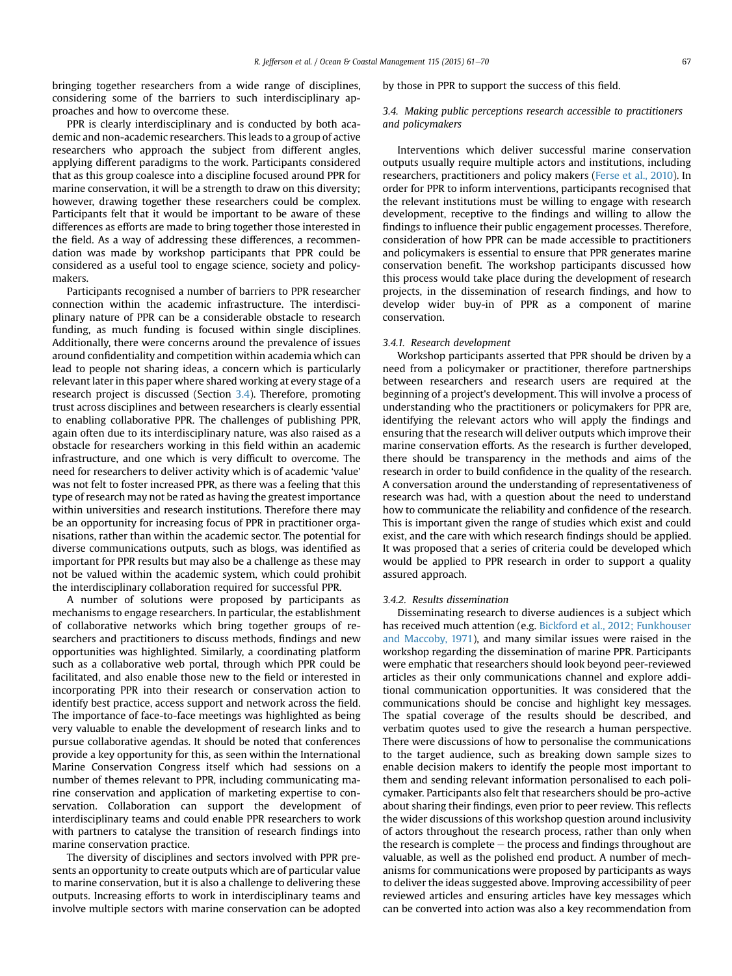bringing together researchers from a wide range of disciplines, considering some of the barriers to such interdisciplinary approaches and how to overcome these.

PPR is clearly interdisciplinary and is conducted by both academic and non-academic researchers. This leads to a group of active researchers who approach the subject from different angles, applying different paradigms to the work. Participants considered that as this group coalesce into a discipline focused around PPR for marine conservation, it will be a strength to draw on this diversity; however, drawing together these researchers could be complex. Participants felt that it would be important to be aware of these differences as efforts are made to bring together those interested in the field. As a way of addressing these differences, a recommendation was made by workshop participants that PPR could be considered as a useful tool to engage science, society and policymakers.

Participants recognised a number of barriers to PPR researcher connection within the academic infrastructure. The interdisciplinary nature of PPR can be a considerable obstacle to research funding, as much funding is focused within single disciplines. Additionally, there were concerns around the prevalence of issues around confidentiality and competition within academia which can lead to people not sharing ideas, a concern which is particularly relevant later in this paper where shared working at every stage of a research project is discussed (Section 3.4). Therefore, promoting trust across disciplines and between researchers is clearly essential to enabling collaborative PPR. The challenges of publishing PPR, again often due to its interdisciplinary nature, was also raised as a obstacle for researchers working in this field within an academic infrastructure, and one which is very difficult to overcome. The need for researchers to deliver activity which is of academic 'value' was not felt to foster increased PPR, as there was a feeling that this type of research may not be rated as having the greatest importance within universities and research institutions. Therefore there may be an opportunity for increasing focus of PPR in practitioner organisations, rather than within the academic sector. The potential for diverse communications outputs, such as blogs, was identified as important for PPR results but may also be a challenge as these may not be valued within the academic system, which could prohibit the interdisciplinary collaboration required for successful PPR.

A number of solutions were proposed by participants as mechanisms to engage researchers. In particular, the establishment of collaborative networks which bring together groups of researchers and practitioners to discuss methods, findings and new opportunities was highlighted. Similarly, a coordinating platform such as a collaborative web portal, through which PPR could be facilitated, and also enable those new to the field or interested in incorporating PPR into their research or conservation action to identify best practice, access support and network across the field. The importance of face-to-face meetings was highlighted as being very valuable to enable the development of research links and to pursue collaborative agendas. It should be noted that conferences provide a key opportunity for this, as seen within the International Marine Conservation Congress itself which had sessions on a number of themes relevant to PPR, including communicating marine conservation and application of marketing expertise to conservation. Collaboration can support the development of interdisciplinary teams and could enable PPR researchers to work with partners to catalyse the transition of research findings into marine conservation practice.

The diversity of disciplines and sectors involved with PPR presents an opportunity to create outputs which are of particular value to marine conservation, but it is also a challenge to delivering these outputs. Increasing efforts to work in interdisciplinary teams and involve multiple sectors with marine conservation can be adopted by those in PPR to support the success of this field.

# 3.4. Making public perceptions research accessible to practitioners and policymakers

Interventions which deliver successful marine conservation outputs usually require multiple actors and institutions, including researchers, practitioners and policy makers ([Ferse et al., 2010\)](#page-8-0). In order for PPR to inform interventions, participants recognised that the relevant institutions must be willing to engage with research development, receptive to the findings and willing to allow the findings to influence their public engagement processes. Therefore, consideration of how PPR can be made accessible to practitioners and policymakers is essential to ensure that PPR generates marine conservation benefit. The workshop participants discussed how this process would take place during the development of research projects, in the dissemination of research findings, and how to develop wider buy-in of PPR as a component of marine conservation.

#### 3.4.1. Research development

Workshop participants asserted that PPR should be driven by a need from a policymaker or practitioner, therefore partnerships between researchers and research users are required at the beginning of a project's development. This will involve a process of understanding who the practitioners or policymakers for PPR are, identifying the relevant actors who will apply the findings and ensuring that the research will deliver outputs which improve their marine conservation efforts. As the research is further developed, there should be transparency in the methods and aims of the research in order to build confidence in the quality of the research. A conversation around the understanding of representativeness of research was had, with a question about the need to understand how to communicate the reliability and confidence of the research. This is important given the range of studies which exist and could exist, and the care with which research findings should be applied. It was proposed that a series of criteria could be developed which would be applied to PPR research in order to support a quality assured approach.

#### 3.4.2. Results dissemination

Disseminating research to diverse audiences is a subject which has received much attention (e.g. [Bickford et al., 2012; Funkhouser](#page-8-0) [and Maccoby, 1971](#page-8-0)), and many similar issues were raised in the workshop regarding the dissemination of marine PPR. Participants were emphatic that researchers should look beyond peer-reviewed articles as their only communications channel and explore additional communication opportunities. It was considered that the communications should be concise and highlight key messages. The spatial coverage of the results should be described, and verbatim quotes used to give the research a human perspective. There were discussions of how to personalise the communications to the target audience, such as breaking down sample sizes to enable decision makers to identify the people most important to them and sending relevant information personalised to each policymaker. Participants also felt that researchers should be pro-active about sharing their findings, even prior to peer review. This reflects the wider discussions of this workshop question around inclusivity of actors throughout the research process, rather than only when the research is complete  $-$  the process and findings throughout are valuable, as well as the polished end product. A number of mechanisms for communications were proposed by participants as ways to deliver the ideas suggested above. Improving accessibility of peer reviewed articles and ensuring articles have key messages which can be converted into action was also a key recommendation from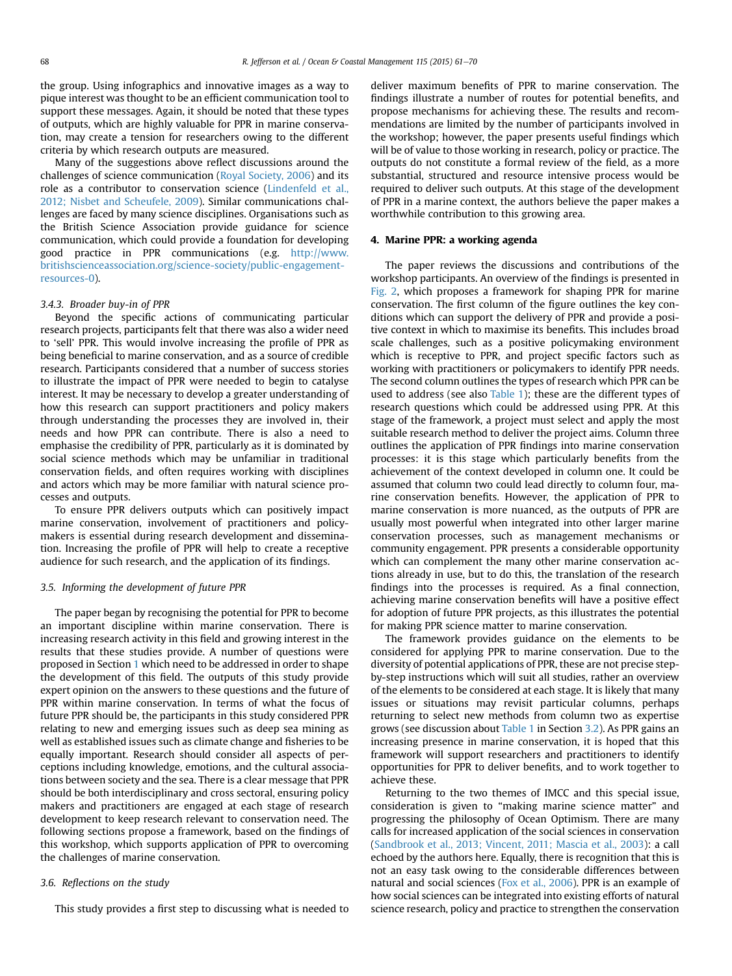the group. Using infographics and innovative images as a way to pique interest was thought to be an efficient communication tool to support these messages. Again, it should be noted that these types of outputs, which are highly valuable for PPR in marine conservation, may create a tension for researchers owing to the different criteria by which research outputs are measured.

Many of the suggestions above reflect discussions around the challenges of science communication [\(Royal Society, 2006\)](#page-9-0) and its role as a contributor to conservation science ([Lindenfeld et al.,](#page-9-0) [2012; Nisbet and Scheufele, 2009\)](#page-9-0). Similar communications challenges are faced by many science disciplines. Organisations such as the British Science Association provide guidance for science communication, which could provide a foundation for developing good practice in PPR communications (e.g. [http://www.](http://www.britishscienceassociation.org/science-society/public-engagement-resources-0) [britishscienceassociation.org/science-society/public-engagement](http://www.britishscienceassociation.org/science-society/public-engagement-resources-0)[resources-0\)](http://www.britishscienceassociation.org/science-society/public-engagement-resources-0).

#### 3.4.3. Broader buy-in of PPR

Beyond the specific actions of communicating particular research projects, participants felt that there was also a wider need to 'sell' PPR. This would involve increasing the profile of PPR as being beneficial to marine conservation, and as a source of credible research. Participants considered that a number of success stories to illustrate the impact of PPR were needed to begin to catalyse interest. It may be necessary to develop a greater understanding of how this research can support practitioners and policy makers through understanding the processes they are involved in, their needs and how PPR can contribute. There is also a need to emphasise the credibility of PPR, particularly as it is dominated by social science methods which may be unfamiliar in traditional conservation fields, and often requires working with disciplines and actors which may be more familiar with natural science processes and outputs.

To ensure PPR delivers outputs which can positively impact marine conservation, involvement of practitioners and policymakers is essential during research development and dissemination. Increasing the profile of PPR will help to create a receptive audience for such research, and the application of its findings.

## 3.5. Informing the development of future PPR

The paper began by recognising the potential for PPR to become an important discipline within marine conservation. There is increasing research activity in this field and growing interest in the results that these studies provide. A number of questions were proposed in Section [1](#page-0-0) which need to be addressed in order to shape the development of this field. The outputs of this study provide expert opinion on the answers to these questions and the future of PPR within marine conservation. In terms of what the focus of future PPR should be, the participants in this study considered PPR relating to new and emerging issues such as deep sea mining as well as established issues such as climate change and fisheries to be equally important. Research should consider all aspects of perceptions including knowledge, emotions, and the cultural associations between society and the sea. There is a clear message that PPR should be both interdisciplinary and cross sectoral, ensuring policy makers and practitioners are engaged at each stage of research development to keep research relevant to conservation need. The following sections propose a framework, based on the findings of this workshop, which supports application of PPR to overcoming the challenges of marine conservation.

## 3.6. Reflections on the study

This study provides a first step to discussing what is needed to

deliver maximum benefits of PPR to marine conservation. The findings illustrate a number of routes for potential benefits, and propose mechanisms for achieving these. The results and recommendations are limited by the number of participants involved in the workshop; however, the paper presents useful findings which will be of value to those working in research, policy or practice. The outputs do not constitute a formal review of the field, as a more substantial, structured and resource intensive process would be required to deliver such outputs. At this stage of the development of PPR in a marine context, the authors believe the paper makes a worthwhile contribution to this growing area.

### 4. Marine PPR: a working agenda

The paper reviews the discussions and contributions of the workshop participants. An overview of the findings is presented in [Fig. 2](#page-8-0), which proposes a framework for shaping PPR for marine conservation. The first column of the figure outlines the key conditions which can support the delivery of PPR and provide a positive context in which to maximise its benefits. This includes broad scale challenges, such as a positive policymaking environment which is receptive to PPR, and project specific factors such as working with practitioners or policymakers to identify PPR needs. The second column outlines the types of research which PPR can be used to address (see also [Table 1](#page-5-0)); these are the different types of research questions which could be addressed using PPR. At this stage of the framework, a project must select and apply the most suitable research method to deliver the project aims. Column three outlines the application of PPR findings into marine conservation processes: it is this stage which particularly benefits from the achievement of the context developed in column one. It could be assumed that column two could lead directly to column four, marine conservation benefits. However, the application of PPR to marine conservation is more nuanced, as the outputs of PPR are usually most powerful when integrated into other larger marine conservation processes, such as management mechanisms or community engagement. PPR presents a considerable opportunity which can complement the many other marine conservation actions already in use, but to do this, the translation of the research findings into the processes is required. As a final connection, achieving marine conservation benefits will have a positive effect for adoption of future PPR projects, as this illustrates the potential for making PPR science matter to marine conservation.

The framework provides guidance on the elements to be considered for applying PPR to marine conservation. Due to the diversity of potential applications of PPR, these are not precise stepby-step instructions which will suit all studies, rather an overview of the elements to be considered at each stage. It is likely that many issues or situations may revisit particular columns, perhaps returning to select new methods from column two as expertise grows (see discussion about [Table 1](#page-5-0) in Section [3.2\)](#page-4-0). As PPR gains an increasing presence in marine conservation, it is hoped that this framework will support researchers and practitioners to identify opportunities for PPR to deliver benefits, and to work together to achieve these.

Returning to the two themes of IMCC and this special issue, consideration is given to "making marine science matter" and progressing the philosophy of Ocean Optimism. There are many calls for increased application of the social sciences in conservation ([Sandbrook et al., 2013; Vincent, 2011; Mascia et al., 2003](#page-9-0)): a call echoed by the authors here. Equally, there is recognition that this is not an easy task owing to the considerable differences between natural and social sciences [\(Fox et al., 2006](#page-9-0)). PPR is an example of how social sciences can be integrated into existing efforts of natural science research, policy and practice to strengthen the conservation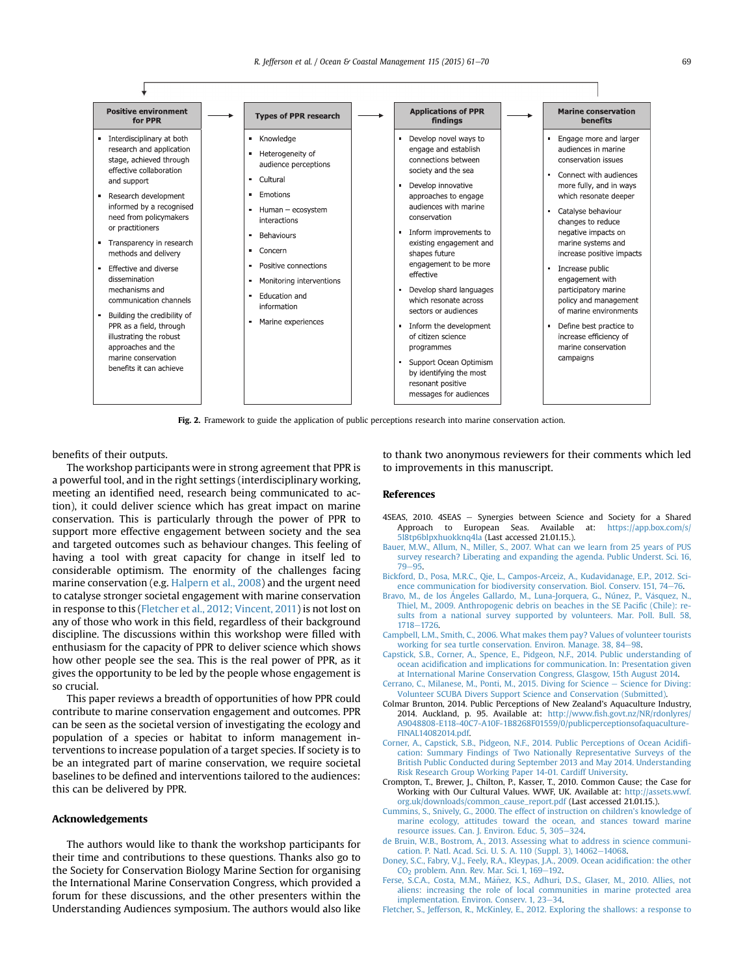<span id="page-8-0"></span>

Fig. 2. Framework to guide the application of public perceptions research into marine conservation action.

benefits of their outputs.

The workshop participants were in strong agreement that PPR is a powerful tool, and in the right settings (interdisciplinary working, meeting an identified need, research being communicated to action), it could deliver science which has great impact on marine conservation. This is particularly through the power of PPR to support more effective engagement between society and the sea and targeted outcomes such as behaviour changes. This feeling of having a tool with great capacity for change in itself led to considerable optimism. The enormity of the challenges facing marine conservation (e.g. [Halpern et al., 2008\)](#page-9-0) and the urgent need to catalyse stronger societal engagement with marine conservation in response to this (Fletcher et al., 2012; Vincent, 2011) is not lost on any of those who work in this field, regardless of their background discipline. The discussions within this workshop were filled with enthusiasm for the capacity of PPR to deliver science which shows how other people see the sea. This is the real power of PPR, as it gives the opportunity to be led by the people whose engagement is so crucial.

This paper reviews a breadth of opportunities of how PPR could contribute to marine conservation engagement and outcomes. PPR can be seen as the societal version of investigating the ecology and population of a species or habitat to inform management interventions to increase population of a target species. If society is to be an integrated part of marine conservation, we require societal baselines to be defined and interventions tailored to the audiences: this can be delivered by PPR.

## Acknowledgements

The authors would like to thank the workshop participants for their time and contributions to these questions. Thanks also go to the Society for Conservation Biology Marine Section for organising the International Marine Conservation Congress, which provided a forum for these discussions, and the other presenters within the Understanding Audiences symposium. The authors would also like

to thank two anonymous reviewers for their comments which led to improvements in this manuscript.

### References

- 4SEAS, 2010. 4SEAS Synergies between Science and Society for a Shared Approach to European Seas. Available at: [https://app.box.com/s/](https://app.box.com/s/5l8tp6blpxhuokknq4la) [5l8tp6blpxhuokknq4la](https://app.box.com/s/5l8tp6blpxhuokknq4la) (Last accessed 21.01.15.).
- [Bauer, M.W., Allum, N., Miller, S., 2007. What can we learn from 25 years of PUS](http://refhub.elsevier.com/S0964-5691(15)00167-2/sref2) [survey research? Liberating and expanding the agenda. Public Underst. Sci. 16,](http://refhub.elsevier.com/S0964-5691(15)00167-2/sref2)  $79 - 95$  $79 - 95$
- [Bickford, D., Posa, M.R.C., Qie, L., Campos-Arceiz, A., Kudavidanage, E.P., 2012. Sci](http://refhub.elsevier.com/S0964-5691(15)00167-2/sref3)[ence communication for biodiversity conservation. Biol. Conserv. 151, 74](http://refhub.elsevier.com/S0964-5691(15)00167-2/sref3)-[76.](http://refhub.elsevier.com/S0964-5691(15)00167-2/sref3)
- [Bravo, M., de los](http://refhub.elsevier.com/S0964-5691(15)00167-2/sref4) Á[ngeles Gallardo, M., Luna-Jorquera, G., Núnez, P., V](http://refhub.elsevier.com/S0964-5691(15)00167-2/sref4)ásquez, N. [Thiel, M., 2009. Anthropogenic debris on beaches in the SE Paci](http://refhub.elsevier.com/S0964-5691(15)00167-2/sref4)fic (Chile): re[sults from a national survey supported by volunteers. Mar. Poll. Bull. 58,](http://refhub.elsevier.com/S0964-5691(15)00167-2/sref4) [1718](http://refhub.elsevier.com/S0964-5691(15)00167-2/sref4)-[1726.](http://refhub.elsevier.com/S0964-5691(15)00167-2/sref4)
- [Campbell, L.M., Smith, C., 2006. What makes them pay? Values of volunteer tourists](http://refhub.elsevier.com/S0964-5691(15)00167-2/sref6) [working for sea turtle conservation. Environ. Manage. 38, 84](http://refhub.elsevier.com/S0964-5691(15)00167-2/sref6)-[98.](http://refhub.elsevier.com/S0964-5691(15)00167-2/sref6)
- [Capstick, S.B., Corner, A., Spence, E., Pidgeon, N.F., 2014. Public understanding of](http://refhub.elsevier.com/S0964-5691(15)00167-2/sref7) ocean acidifi[cation and implications for communication. In: Presentation given](http://refhub.elsevier.com/S0964-5691(15)00167-2/sref7) [at International Marine Conservation Congress, Glasgow, 15th August 2014.](http://refhub.elsevier.com/S0964-5691(15)00167-2/sref7)
- [Cerrano, C., Milanese, M., Ponti, M., 2015. Diving for Science](http://refhub.elsevier.com/S0964-5691(15)00167-2/sref8) [Science for Diving:](http://refhub.elsevier.com/S0964-5691(15)00167-2/sref8) [Volunteer SCUBA Divers Support Science and Conservation \(Submitted\)](http://refhub.elsevier.com/S0964-5691(15)00167-2/sref8).
- Colmar Brunton, 2014. Public Perceptions of New Zealand's Aquaculture Industry, 2014. Auckland, p. 95. Available at: http://www.fish.govt.nz/NR/rdonlyres. [A9048808-E118-40C7-A10F-1B8268F01559/0/publicperceptionsofaquaculture-](http://www.fish.govt.nz/NR/rdonlyres/A9048808-E118-40C7-A10F-1B8268F01559/0/publicperceptionsofaquacultureFINAL14082014.pdf)[FINAL14082014.pdf.](http://www.fish.govt.nz/NR/rdonlyres/A9048808-E118-40C7-A10F-1B8268F01559/0/publicperceptionsofaquacultureFINAL14082014.pdf)
- [Corner, A., Capstick, S.B., Pidgeon, N.F., 2014. Public Perceptions of Ocean Acidi](http://refhub.elsevier.com/S0964-5691(15)00167-2/sref9)fi[cation: Summary Findings of Two Nationally Representative Surveys of the](http://refhub.elsevier.com/S0964-5691(15)00167-2/sref9) [British Public Conducted during September 2013 and May 2014. Understanding](http://refhub.elsevier.com/S0964-5691(15)00167-2/sref9) [Risk Research Group Working Paper 14-01. Cardiff University.](http://refhub.elsevier.com/S0964-5691(15)00167-2/sref9)
- Crompton, T., Brewer, J., Chilton, P., Kasser, T., 2010. Common Cause; the Case for Working with Our Cultural Values. WWF, UK. Available at: [http://assets.wwf.](http://assets.wwf.org.uk/downloads/common_cause_report.pdf) [org.uk/downloads/common\\_cause\\_report.pdf](http://assets.wwf.org.uk/downloads/common_cause_report.pdf) (Last accessed 21.01.15.).
- [Cummins, S., Snively, G., 2000. The effect of instruction on children's knowledge of](http://refhub.elsevier.com/S0964-5691(15)00167-2/sref11) [marine ecology, attitudes toward the ocean, and stances toward marine](http://refhub.elsevier.com/S0964-5691(15)00167-2/sref11) [resource issues. Can. J. Environ. Educ. 5, 305](http://refhub.elsevier.com/S0964-5691(15)00167-2/sref11)-[324.](http://refhub.elsevier.com/S0964-5691(15)00167-2/sref11)
- [de Bruin, W.B., Bostrom, A., 2013. Assessing what to address in science communi](http://refhub.elsevier.com/S0964-5691(15)00167-2/sref12)[cation. P. Natl. Acad. Sci. U. S. A. 110 \(Suppl. 3\), 14062](http://refhub.elsevier.com/S0964-5691(15)00167-2/sref12)-14068
- [Doney, S.C., Fabry, V.J., Feely, R.A., Kleypas, J.A., 2009. Ocean acidi](http://refhub.elsevier.com/S0964-5691(15)00167-2/sref13)fication: the other CO<sub>2</sub> [problem. Ann. Rev. Mar. Sci. 1, 169](http://refhub.elsevier.com/S0964-5691(15)00167-2/sref13)-[192](http://refhub.elsevier.com/S0964-5691(15)00167-2/sref13).
- [Ferse, S.C.A., Costa, M.M., M](http://refhub.elsevier.com/S0964-5691(15)00167-2/sref14)áñ[ez, K.S., Adhuri, D.S., Glaser, M., 2010. Allies, not](http://refhub.elsevier.com/S0964-5691(15)00167-2/sref14) [aliens: increasing the role of local communities in marine protected area](http://refhub.elsevier.com/S0964-5691(15)00167-2/sref14) [implementation. Environ. Conserv. 1, 23](http://refhub.elsevier.com/S0964-5691(15)00167-2/sref14)-[34](http://refhub.elsevier.com/S0964-5691(15)00167-2/sref14).
- [Fletcher, S., Jefferson, R., McKinley, E., 2012. Exploring the shallows: a response to](http://refhub.elsevier.com/S0964-5691(15)00167-2/sref15)